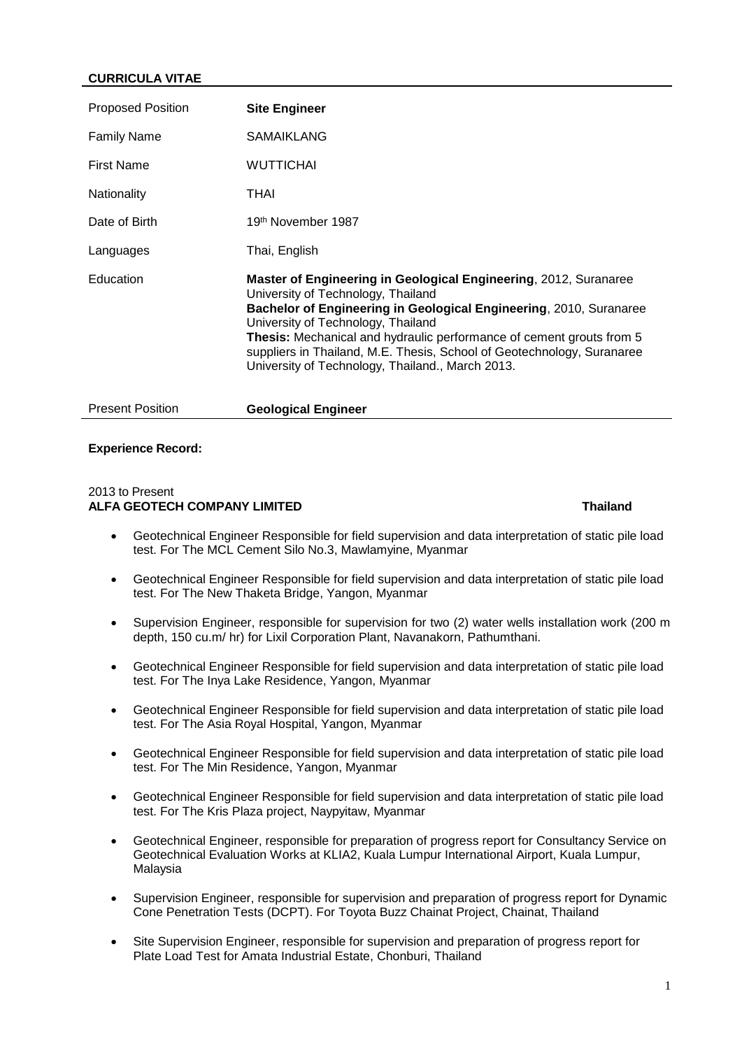# **CURRICULA VITAE**

| Proposed Position  | <b>Site Engineer</b>                                                                                                                                                                                                                                                                                                                                                                                                     |
|--------------------|--------------------------------------------------------------------------------------------------------------------------------------------------------------------------------------------------------------------------------------------------------------------------------------------------------------------------------------------------------------------------------------------------------------------------|
| <b>Family Name</b> | <b>SAMAIKLANG</b>                                                                                                                                                                                                                                                                                                                                                                                                        |
| <b>First Name</b>  | <b>WUTTICHAI</b>                                                                                                                                                                                                                                                                                                                                                                                                         |
| Nationality        | THAI                                                                                                                                                                                                                                                                                                                                                                                                                     |
| Date of Birth      | 19th November 1987                                                                                                                                                                                                                                                                                                                                                                                                       |
| Languages          | Thai, English                                                                                                                                                                                                                                                                                                                                                                                                            |
| Education          | Master of Engineering in Geological Engineering, 2012, Suranaree<br>University of Technology, Thailand<br>Bachelor of Engineering in Geological Engineering, 2010, Suranaree<br>University of Technology, Thailand<br>Thesis: Mechanical and hydraulic performance of cement grouts from 5<br>suppliers in Thailand, M.E. Thesis, School of Geotechnology, Suranaree<br>University of Technology, Thailand., March 2013. |

# Present Position **Geological Engineer**

### **Experience Record:**

### 2013 to Present **ALFA GEOTECH COMPANY LIMITED Thailand**

- Geotechnical Engineer Responsible for field supervision and data interpretation of static pile load test. For The MCL Cement Silo No.3, Mawlamyine, Myanmar
- Geotechnical Engineer Responsible for field supervision and data interpretation of static pile load test. For The New Thaketa Bridge, Yangon, Myanmar
- Supervision Engineer, responsible for supervision for two (2) water wells installation work (200 m depth, 150 cu.m/ hr) for Lixil Corporation Plant, Navanakorn, Pathumthani.
- Geotechnical Engineer Responsible for field supervision and data interpretation of static pile load test. For The Inya Lake Residence, Yangon, Myanmar
- Geotechnical Engineer Responsible for field supervision and data interpretation of static pile load test. For The Asia Royal Hospital, Yangon, Myanmar
- Geotechnical Engineer Responsible for field supervision and data interpretation of static pile load test. For The Min Residence, Yangon, Myanmar
- Geotechnical Engineer Responsible for field supervision and data interpretation of static pile load test. For The Kris Plaza project, Naypyitaw, Myanmar
- Geotechnical Engineer, responsible for preparation of progress report for Consultancy Service on Geotechnical Evaluation Works at KLIA2, Kuala Lumpur International Airport, Kuala Lumpur, Malaysia
- Supervision Engineer, responsible for supervision and preparation of progress report for Dynamic Cone Penetration Tests (DCPT). For Toyota Buzz Chainat Project, Chainat, Thailand
- Site Supervision Engineer, responsible for supervision and preparation of progress report for Plate Load Test for Amata Industrial Estate, Chonburi, Thailand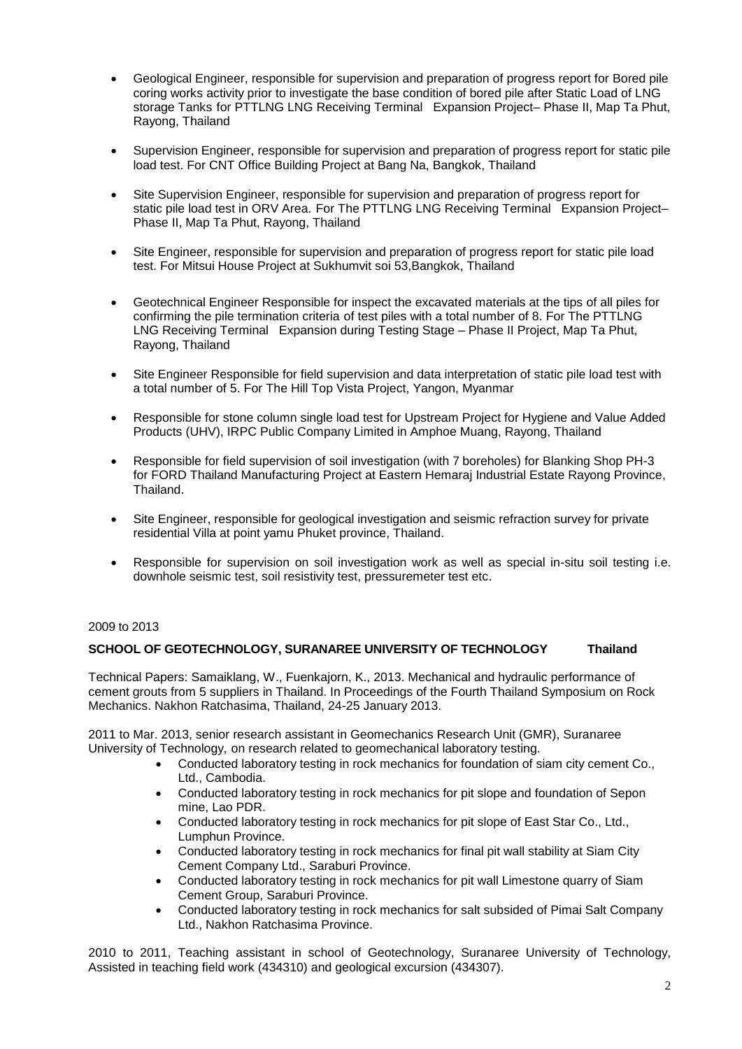- Geological Engineer, responsible for supervision and preparation of progress report for Bored pile coring works activity prior to investigate the base condition of bored pile after Static Load of LNG storage Tanks for PTTLNG LNG Receiving Terminal Expansion Project– Phase II, Map Ta Phut, Rayong, Thailand
- Supervision Engineer, responsible for supervision and preparation of progress report for static pile load test. For CNT Office Building Project at Bang Na, Bangkok, Thailand
- Site Supervision Engineer, responsible for supervision and preparation of progress report for static pile load test in ORV Area. For The PTTLNG LNG Receiving Terminal Expansion Project– Phase II, Map Ta Phut, Rayong, Thailand
- Site Engineer, responsible for supervision and preparation of progress report for static pile load test. For Mitsui House Project at Sukhumvit soi 53,Bangkok, Thailand
- Geotechnical Engineer Responsible for inspect the excavated materials at the tips of all piles for confirming the pile termination criteria of test piles with a total number of 8. For The PTTLNG LNG Receiving Terminal Expansion during Testing Stage – Phase II Project, Map Ta Phut, Rayong, Thailand
- Site Engineer Responsible for field supervision and data interpretation of static pile load test with a total number of 5. For The Hill Top Vista Project, Yangon, Myanmar
- Responsible for stone column single load test for Upstream Project for Hygiene and Value Added Products (UHV), IRPC Public Company Limited in Amphoe Muang, Rayong, Thailand
- Responsible for field supervision of soil investigation (with 7 boreholes) for Blanking Shop PH-3 for FORD Thailand Manufacturing Project at Eastern Hemaraj Industrial Estate Rayong Province, Thailand.
- Site Engineer, responsible for geological investigation and seismic refraction survey for private residential Villa at point yamu Phuket province, Thailand.
- Responsible for supervision on soil investigation work as well as special in-situ soil testing i.e. downhole seismic test, soil resistivity test, pressuremeter test etc.

### 2009 to 2013

### **SCHOOL OF GEOTECHNOLOGY, SURANAREE UNIVERSITY OF TECHNOLOGY Thailand**

Technical Papers: Samaiklang, W., Fuenkajorn, K., 2013. Mechanical and hydraulic performance of cement grouts from 5 suppliers in Thailand. In Proceedings of the Fourth Thailand Symposium on Rock Mechanics. Nakhon Ratchasima, Thailand, 24-25 January 2013.

2011 to Mar. 2013, senior research assistant in Geomechanics Research Unit (GMR), Suranaree University of Technology, on research related to geomechanical laboratory testing.

- Conducted laboratory testing in rock mechanics for foundation of siam city cement Co., Ltd., Cambodia.
- Conducted laboratory testing in rock mechanics for pit slope and foundation of Sepon mine, Lao PDR.
- Conducted laboratory testing in rock mechanics for pit slope of East Star Co., Ltd., Lumphun Province.
- Conducted laboratory testing in rock mechanics for final pit wall stability at Siam City Cement Company Ltd., Saraburi Province.
- Conducted laboratory testing in rock mechanics for pit wall Limestone quarry of Siam Cement Group, Saraburi Province.
- Conducted laboratory testing in rock mechanics for salt subsided of Pimai Salt Company Ltd., Nakhon Ratchasima Province.

2010 to 2011, Teaching assistant in school of Geotechnology, Suranaree University of Technology, Assisted in teaching field work (434310) and geological excursion (434307).